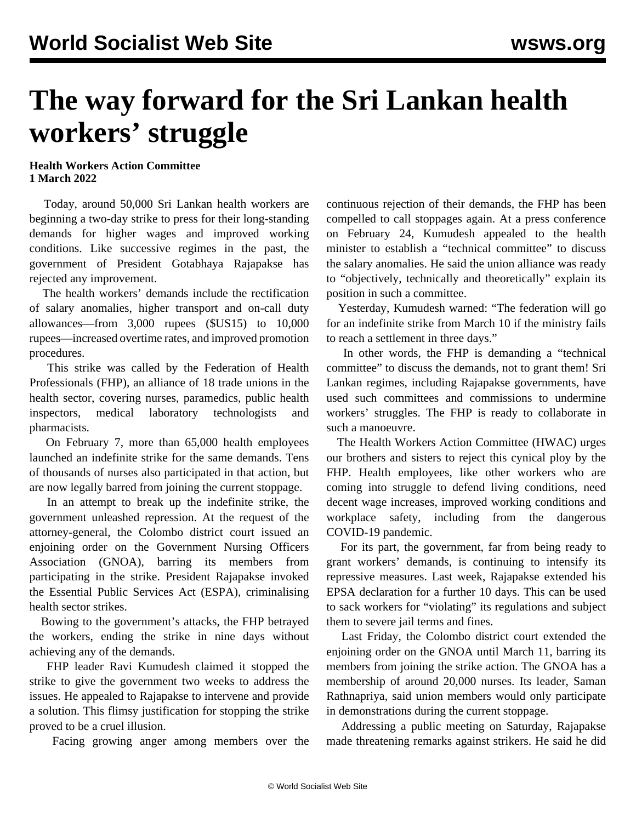## **The way forward for the Sri Lankan health workers' struggle**

## **Health Workers Action Committee 1 March 2022**

 Today, around 50,000 Sri Lankan health workers are beginning a two-day strike to press for their long-standing demands for higher wages and improved working conditions. Like successive regimes in the past, the government of President Gotabhaya Rajapakse has rejected any improvement.

 The health workers' demands include the rectification of salary anomalies, higher transport and on-call duty allowances—from 3,000 rupees (\$US15) to 10,000 rupees—increased overtime rates, and improved promotion procedures.

 This strike was called by the Federation of Health Professionals (FHP), an alliance of 18 trade unions in the health sector, covering nurses, paramedics, public health inspectors, medical laboratory technologists and pharmacists.

 On February 7, more than 65,000 health employees launched an indefinite strike for the same demands. Tens of thousands of nurses also participated in that action, but are now legally barred from joining the current stoppage.

 In an attempt to break up the indefinite strike, the government unleashed repression. At the request of the attorney-general, the Colombo district court issued an enjoining order on the Government Nursing Officers Association (GNOA), barring its members from participating in the strike. President Rajapakse invoked the Essential Public Services Act (ESPA), criminalising health sector strikes.

 Bowing to the government's attacks, the FHP betrayed the workers, ending the strike in nine days without achieving any of the demands.

 FHP leader Ravi Kumudesh claimed it stopped the strike to give the government two weeks to address the issues. He appealed to Rajapakse to intervene and provide a solution. This flimsy justification for stopping the strike proved to be a cruel illusion.

Facing growing anger among members over the

continuous rejection of their demands, the FHP has been compelled to call stoppages again. At a press conference on February 24, Kumudesh appealed to the health minister to establish a "technical committee" to discuss the salary anomalies. He said the union alliance was ready to "objectively, technically and theoretically" explain its position in such a committee.

 Yesterday, Kumudesh warned: "The federation will go for an indefinite strike from March 10 if the ministry fails to reach a settlement in three days."

 In other words, the FHP is demanding a "technical committee" to discuss the demands, not to grant them! Sri Lankan regimes, including Rajapakse governments, have used such committees and commissions to undermine workers' struggles. The FHP is ready to collaborate in such a manoeuvre.

 The Health Workers Action Committee (HWAC) urges our brothers and sisters to reject this cynical ploy by the FHP. Health employees, like other workers who are coming into struggle to defend living conditions, need decent wage increases, improved working conditions and workplace safety, including from the dangerous COVID-19 pandemic.

 For its part, the government, far from being ready to grant workers' demands, is continuing to intensify its repressive measures. Last week, Rajapakse extended his EPSA declaration for a further 10 days. This can be used to sack workers for "violating" its regulations and subject them to severe jail terms and fines.

 Last Friday, the Colombo district court extended the enjoining order on the GNOA until March 11, barring its members from joining the strike action. The GNOA has a membership of around 20,000 nurses. Its leader, Saman Rathnapriya, said union members would only participate in demonstrations during the current stoppage.

 Addressing a public meeting on Saturday, Rajapakse made threatening remarks against strikers. He said he did